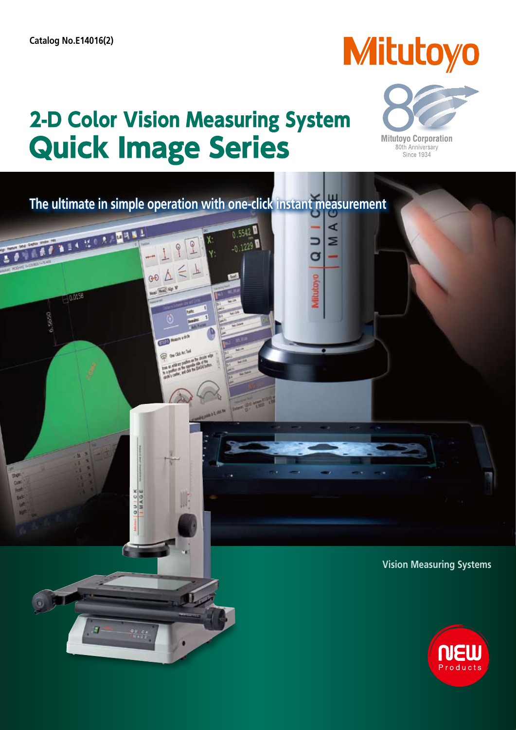**BECKAMENT** 

**E MORE** 

 $\overline{\mathcal{M}}$ 

6,5650

# **Mitutoyo**

**Mitutoyo Corporation** 80th Anniversary<br>Since 1934

 $\blacktriangleleft$ 

Σ

a

## **2-D Color Vision Measuring System Quick Image Series**

 $\Rightarrow \Delta \approx$ 



0.5542

 $-0.1229$ 

**Vision Measuring Systems**